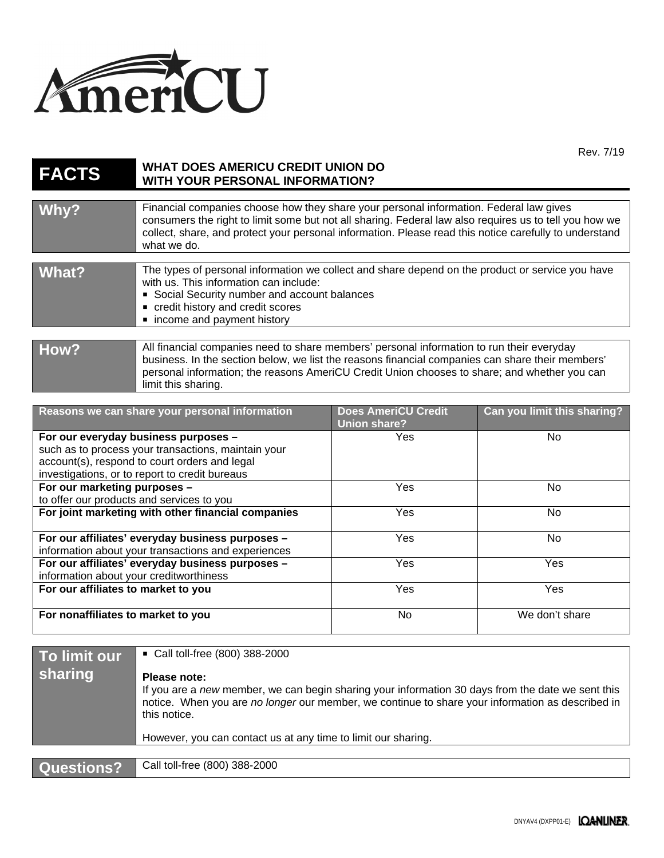

Rev. 7/19

| <b>FACTS</b> | <b>WHAT DOES AMERICU CREDIT UNION DO</b><br><b>WITH YOUR PERSONAL INFORMATION?</b>                                                                                                                                                                                                                                        |                            |                             |
|--------------|---------------------------------------------------------------------------------------------------------------------------------------------------------------------------------------------------------------------------------------------------------------------------------------------------------------------------|----------------------------|-----------------------------|
| Why?         | Financial companies choose how they share your personal information. Federal law gives<br>consumers the right to limit some but not all sharing. Federal law also requires us to tell you how we<br>collect, share, and protect your personal information. Please read this notice carefully to understand<br>what we do. |                            |                             |
| What?        | The types of personal information we collect and share depend on the product or service you have<br>with us. This information can include:<br>Social Security number and account balances<br>credit history and credit scores<br>• income and payment history                                                             |                            |                             |
| How?         | All financial companies need to share members' personal information to run their everyday<br>business. In the section below, we list the reasons financial companies can share their members'<br>personal information; the reasons AmeriCU Credit Union chooses to share; and whether you can<br>limit this sharing.      |                            |                             |
|              | Reasons we can share your personal information                                                                                                                                                                                                                                                                            | <b>Does AmeriCU Credit</b> | Can you limit this sharing? |

| Reasons we can share your personal information      | <b>Does AmeriCU Credit</b><br>Union share? | Can you limit this sharing? |
|-----------------------------------------------------|--------------------------------------------|-----------------------------|
| For our everyday business purposes -                | Yes                                        | No.                         |
| such as to process your transactions, maintain your |                                            |                             |
| account(s), respond to court orders and legal       |                                            |                             |
| investigations, or to report to credit bureaus      |                                            |                             |
| For our marketing purposes -                        | <b>Yes</b>                                 | No.                         |
| to offer our products and services to you           |                                            |                             |
| For joint marketing with other financial companies  | <b>Yes</b>                                 | No.                         |
|                                                     |                                            |                             |
| For our affiliates' everyday business purposes -    | <b>Yes</b>                                 | No                          |
| information about your transactions and experiences |                                            |                             |
| For our affiliates' everyday business purposes -    | <b>Yes</b>                                 | Yes                         |
| information about your creditworthiness             |                                            |                             |
| For our affiliates to market to you                 | Yes                                        | Yes                         |
|                                                     |                                            |                             |
| For nonaffiliates to market to you                  | No.                                        | We don't share              |
|                                                     |                                            |                             |

| To limit our<br><b>sharing</b> | ■ Call toll-free (800) 388-2000<br>Please note:<br>If you are a new member, we can begin sharing your information 30 days from the date we sent this<br>notice. When you are no longer our member, we continue to share your information as described in<br>this notice. |
|--------------------------------|--------------------------------------------------------------------------------------------------------------------------------------------------------------------------------------------------------------------------------------------------------------------------|
|                                | However, you can contact us at any time to limit our sharing.                                                                                                                                                                                                            |
|                                |                                                                                                                                                                                                                                                                          |
| Questions?                     | Call toll-free (800) 388-2000                                                                                                                                                                                                                                            |